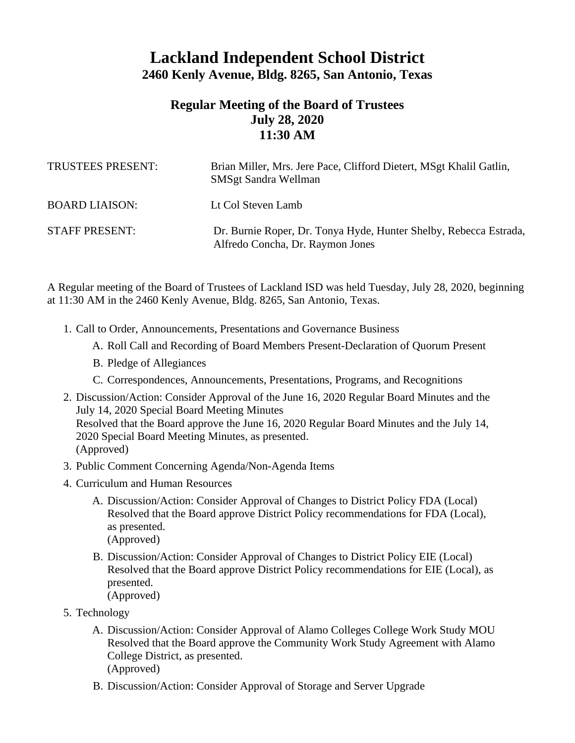## **Lackland Independent School District 2460 Kenly Avenue, Bldg. 8265, San Antonio, Texas**

## **Regular Meeting of the Board of Trustees July 28, 2020 11:30 AM**

| TRUSTEES PRESENT:     | Brian Miller, Mrs. Jere Pace, Clifford Dietert, MSgt Khalil Gatlin,<br><b>SMSgt Sandra Wellman</b>    |
|-----------------------|-------------------------------------------------------------------------------------------------------|
| <b>BOARD LIAISON:</b> | Lt Col Steven Lamb                                                                                    |
| <b>STAFF PRESENT:</b> | Dr. Burnie Roper, Dr. Tonya Hyde, Hunter Shelby, Rebecca Estrada,<br>Alfredo Concha, Dr. Raymon Jones |

A Regular meeting of the Board of Trustees of Lackland ISD was held Tuesday, July 28, 2020, beginning at 11:30 AM in the 2460 Kenly Avenue, Bldg. 8265, San Antonio, Texas.

- 1. Call to Order, Announcements, Presentations and Governance Business
	- A. Roll Call and Recording of Board Members Present-Declaration of Quorum Present
	- B. Pledge of Allegiances
	- C. Correspondences, Announcements, Presentations, Programs, and Recognitions
- 2. Discussion/Action: Consider Approval of the June 16, 2020 Regular Board Minutes and the July 14, 2020 Special Board Meeting Minutes Resolved that the Board approve the June 16, 2020 Regular Board Minutes and the July 14, 2020 Special Board Meeting Minutes, as presented. (Approved)
- 3. Public Comment Concerning Agenda/Non-Agenda Items
- 4. Curriculum and Human Resources
	- A. Discussion/Action: Consider Approval of Changes to District Policy FDA (Local) Resolved that the Board approve District Policy recommendations for FDA (Local), as presented. (Approved)
	- B. Discussion/Action: Consider Approval of Changes to District Policy EIE (Local) Resolved that the Board approve District Policy recommendations for EIE (Local), as presented. (Approved)
- 5. Technology
	- A. Discussion/Action: Consider Approval of Alamo Colleges College Work Study MOU Resolved that the Board approve the Community Work Study Agreement with Alamo College District, as presented. (Approved)
	- B. Discussion/Action: Consider Approval of Storage and Server Upgrade